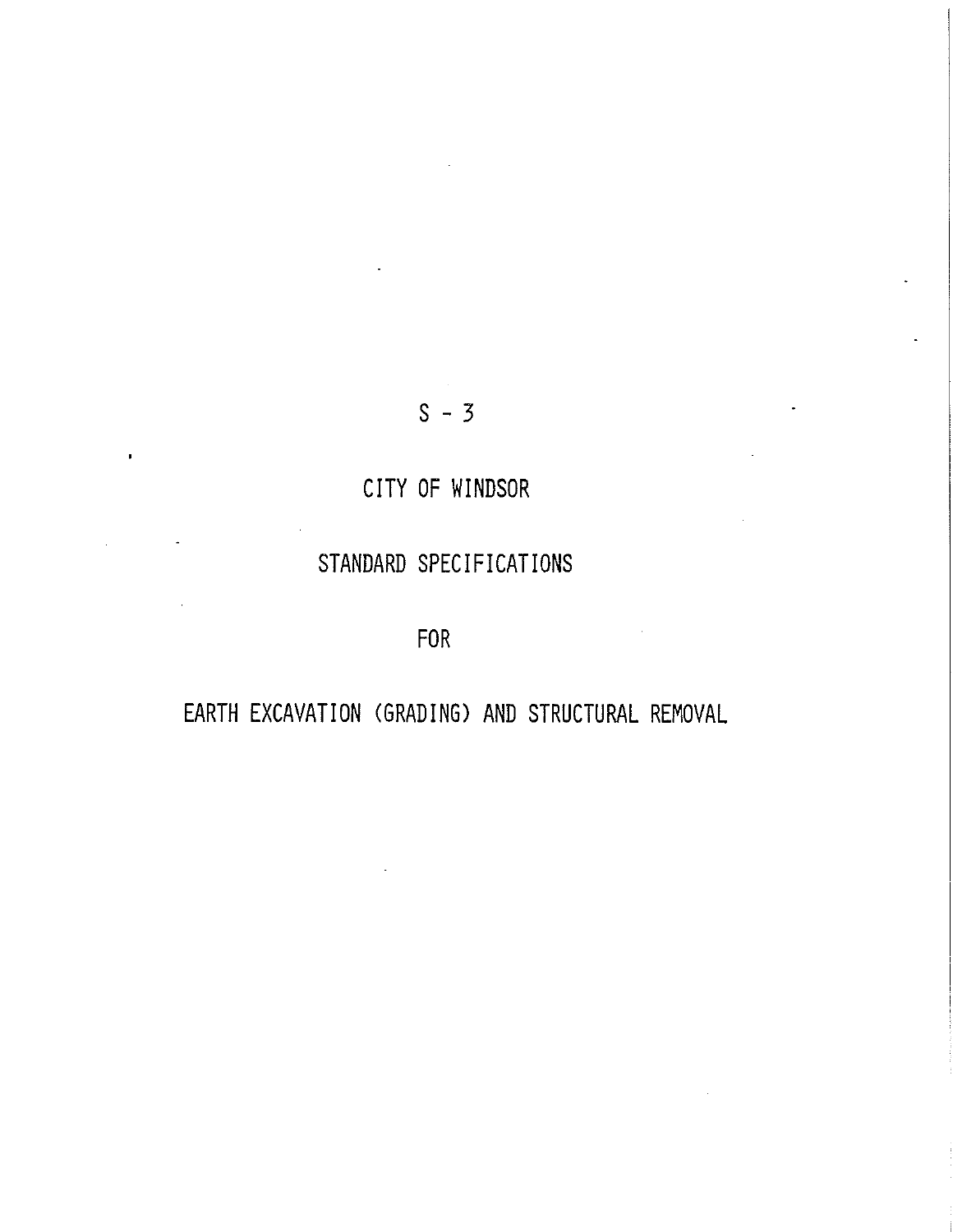# $S - 3$

# CITY OF WINDSOR

# STANDARD SPECIFICATIONS

FOR

# EARTH EXCAVATION (GRADING) AND STRUCTURAL REMOVAL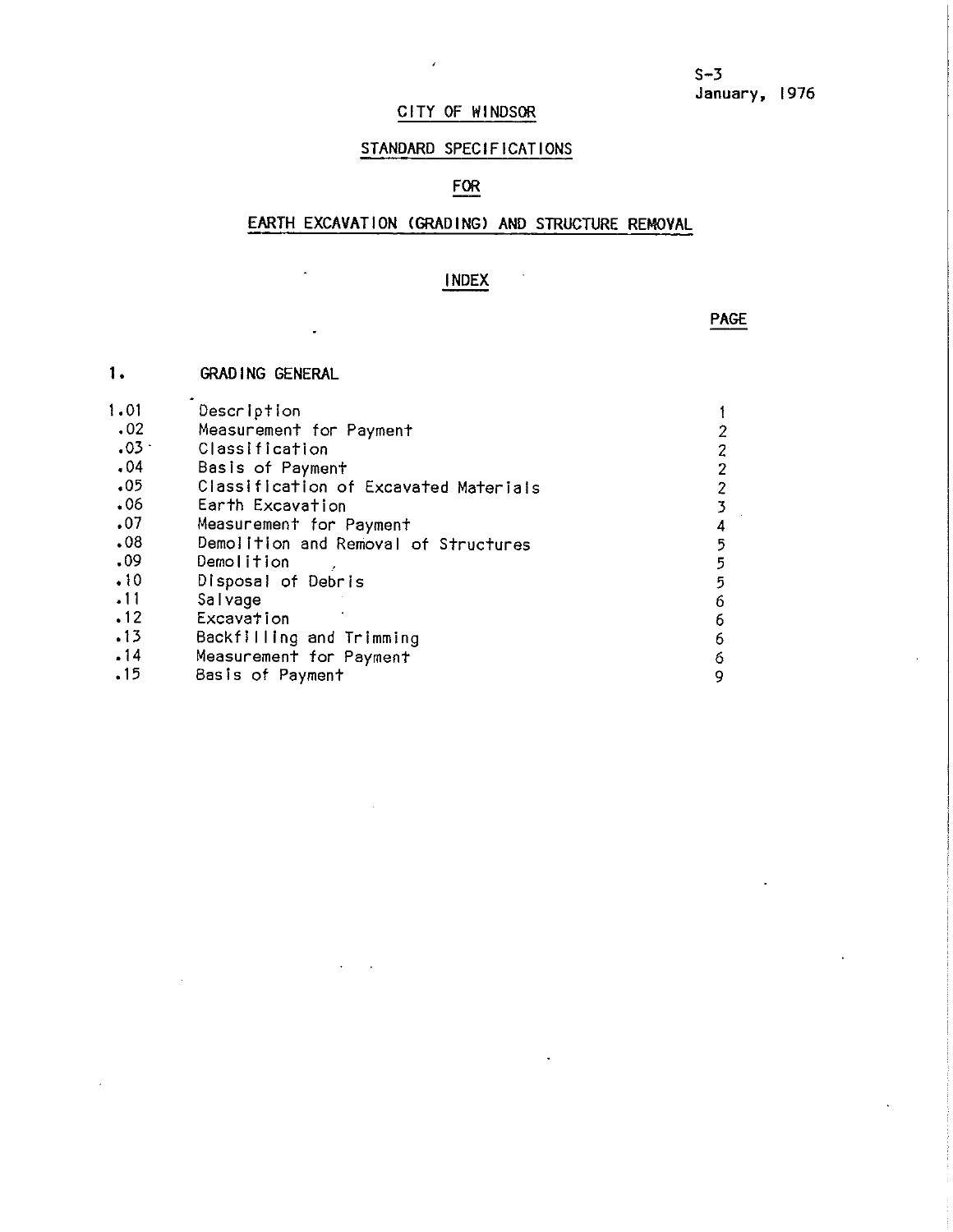## CITY OF WINDSOR

 $\lambda$ 

# STANDARD SPECIFICATIONS

# FOR

## EARTH EXCAVATION (GRADING) AND STRUCTURE REMOVAL

# **INDEX**

 $\ddot{\phantom{0}}$ 

**PAGE** 

| 1.      | <b>GRAD ING GENERAL</b>               |   |
|---------|---------------------------------------|---|
| 1.01    | Description                           |   |
| .02     | Measurement for Payment               | 2 |
| $.03 -$ | Classification                        | 2 |
| .04     | Basis of Payment                      | 2 |
| .05     | Classification of Excavated Materials | 2 |
| .06     | Earth Excavation                      | 3 |
| .07     | Measurement for Payment               | 4 |
| .08     | Demolition and Removal of Structures  | 5 |
| .09     | Demolition                            | 5 |
| .10     | Disposal of Debris                    | 5 |
| .11     | Salvage                               | 6 |
| .12     | Excavation                            | 6 |
| .13     | Backfilling and Trimming              | 6 |
| .14     | Measurement for Payment               | 6 |
| .15     | Basis of Payment                      | 9 |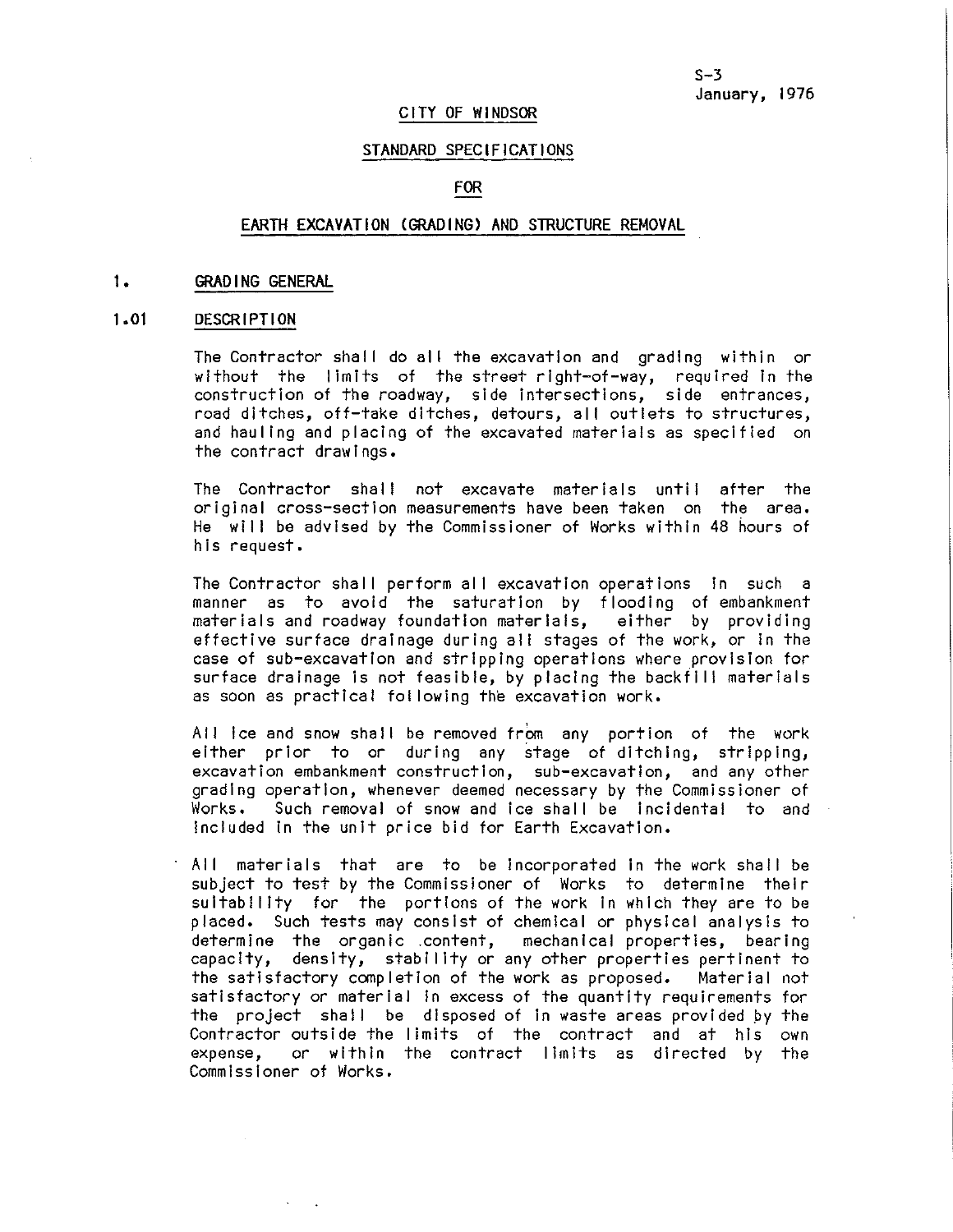## CITY OF WINOSOR

## STANDARD SPECIFICATIONS

## FOR

## EARTH EXCAVATION (GRADING) AND STRUCTURE REMOVAL

#### **1**• **GRADING GENERAL**

#### $1.01$ **DESCRIPTION**

The Contractor shall do all the excavation and grading within or without the limits of the street right-of-way, required In the construction of the roadway, side intersections, side entrances, road ditches, off-take ditches, detours, all outlets to structures, and haul Ing and placing of the excavated materials as specified on the contract drawings.

The Contractor shall not excavate materials until after the original cross-section measurements have been taken on the area. He will be advised by the Commissioner of Works within 48 hours of his request.

The Contractor shall perform all excavation operations in such a manner as to avoid the saturation by flooding of embankment materials and roadway foundation materials, either by providing effective surface drainage during all stages of the work, or In the case of sub-excavation and stripping operations where provision for surface drainage is not feasible, by placing the backfill materials as soon as practical fol lowing the excavation work.

All ice and snow shall be removed from any portion of the work either prior to or during any stage of ditching, stripping, excavation embankment construction, sub-excavation, and any other grading operation, whenever deemed necessary by the Commissioner of Works. Such removal of snow and ice shall be incidental to and included In the unit price bid for Earth Excavation.

All materials that are to be incorporated in the work shall be subject to test by the Commissioner of Works to determine their suitability for the portions of the work in which they are to be placed. Such tests may consist of chemical or physical analysis to determine the organic .content, capacity, density, stability or any other properties pertinent to the satisfactory completion of the work as proposed. Material not satisfactory or material In excess of the quantity requirements for the project shall be disposed of in waste areas provided by the Contractor outside the limits of the contract and at his own or within the contract limits as directed by the Commissioner of Works.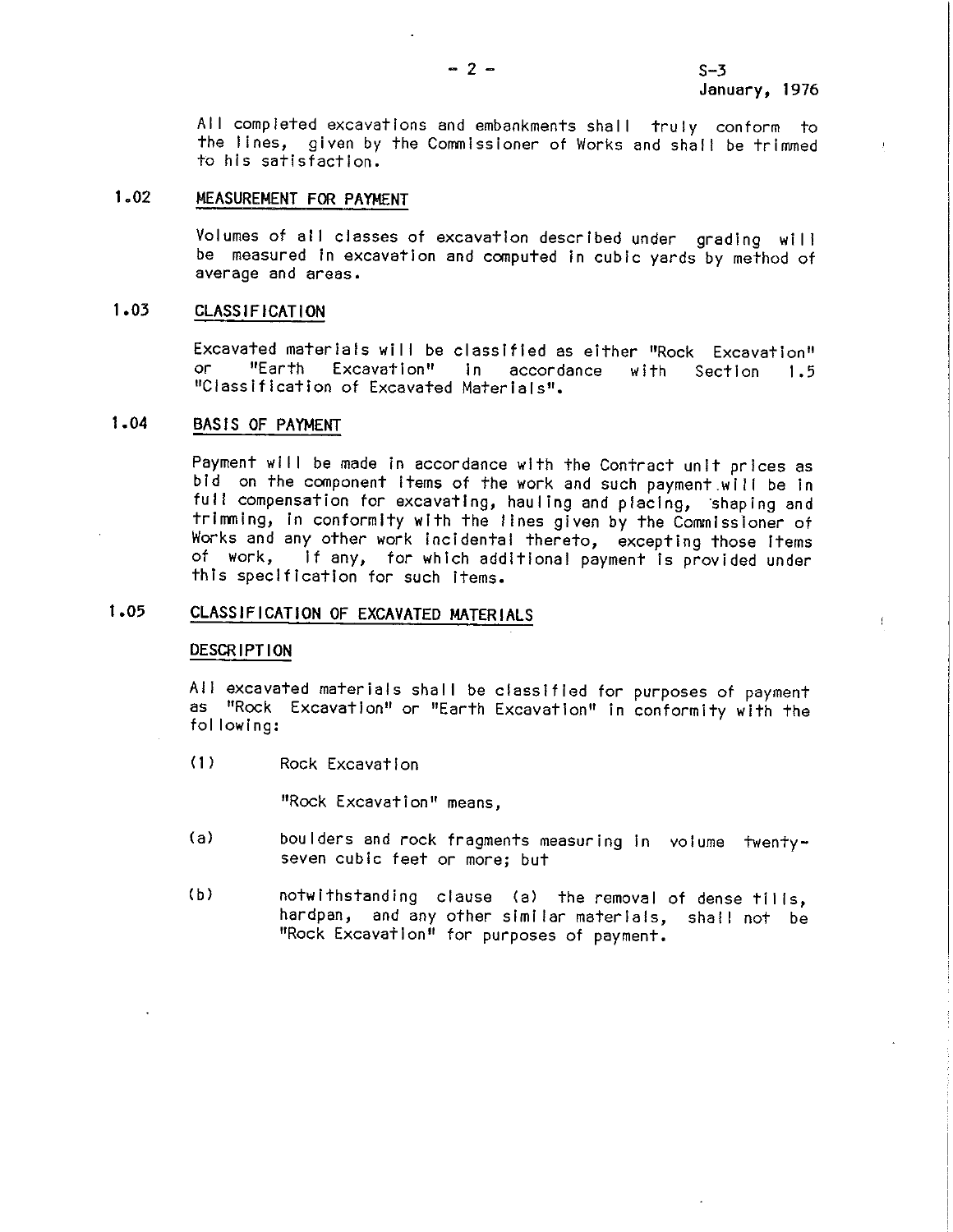$\mathbf{f}$ 

All completed excavations and embankments shall truly conform to the lines, given by the Commissioner of Works and shall be trimmed to his satisfaction.

## 1.02 MEASUREMENT FOR PAYMENT

Volumes of all classes of excavation described under grading will be measured in excavation and computed in cubic yards by method of average and areas.

## **1.03 CLASSIFICATION**

Excavated materials will be classified as either "Rock Excavation"<br>or "Earth Excavation" in accordance with Section 1.5 or "Earth Excavation" In accordance with Section 1.5 "Classification of Excavated Materials".

## **1.04 BASIS** OF **PAYMENT**

Payment will be made in accordance with the Contract unit prices as bid on the component Items of the work and such payment.will be in full compensation for excavating, hauling and placing, shaping and trimming, in conformity with the lines given by the Commissioner of Works and any other work incidental thereto, excepting those items<br>of work, if any, for which additional payment is provided under if any, for which additional payment is provided under this specification for such items.

## **1.05 CLASSIFICATION** OF **EXCAVATED MATERIALS**

#### **DESCRIPTION**

All excavated materials shall be classified for purposes of payment as "Rock Excavation" or "Earth Excavation" In conformity with the fol lowing:

(1) Rock Excavation

"Rock Excavation" means,

- (a) boulders and rock fragments measuring In volume twentyseven cubic feet or more; but
- (b) notwithstanding clause (a) the removal of dense tills,<br>hardpan, and any other similar materials, shall not be and any other similar materials, shall not be "Rock Excavation" for purposes of payment.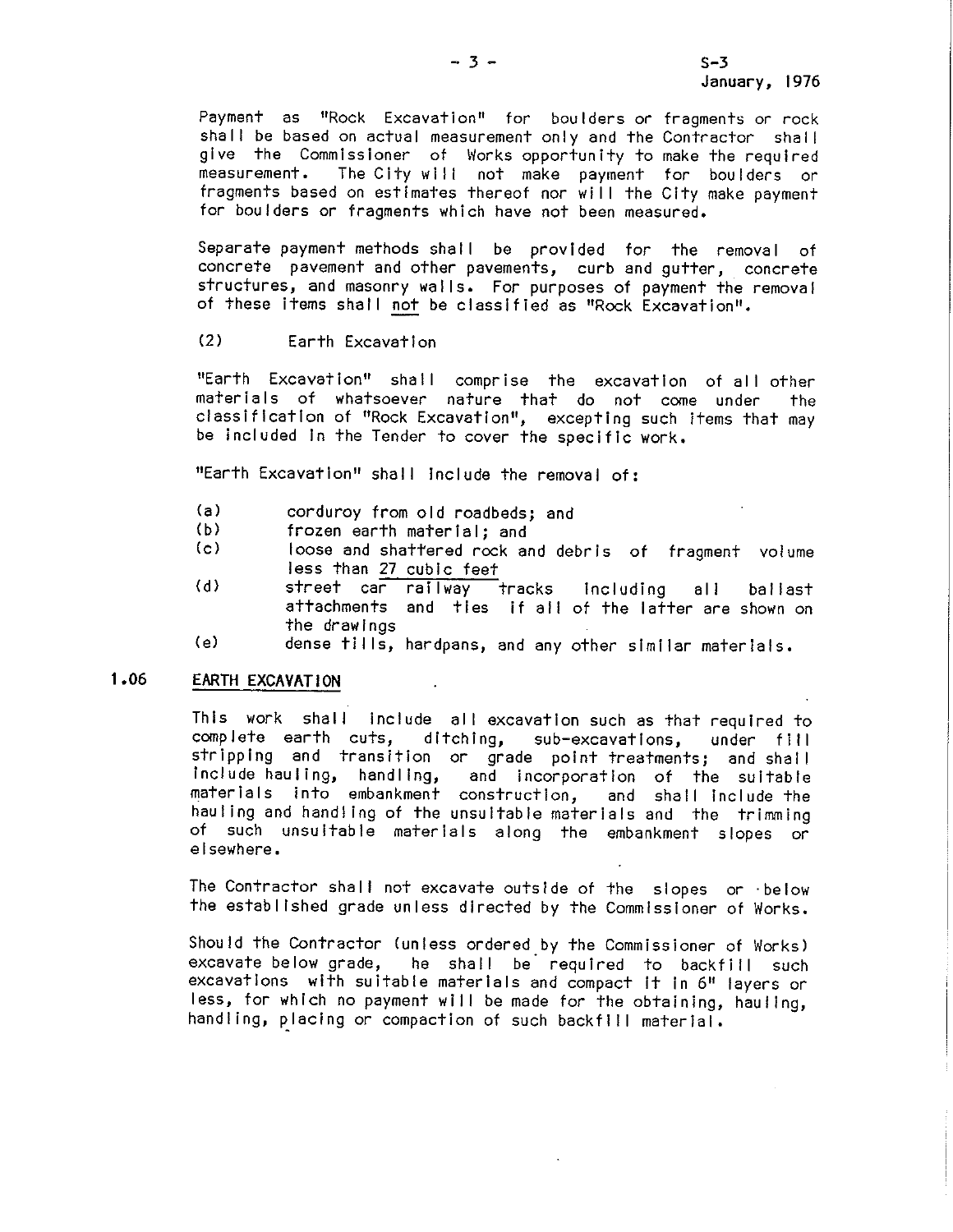Payment as "Rock Excavation" for boulders or fragments or rock shall be based on actual measurement only and the Contractor shall give the Commissioner of Works-opportunity to make the required<br>measurement. The City will not make payment for boulders or The City will not make payment for boulders or fragments based on estimates thereof nor wl I I the City make payment tor boulders or fragments which have not been measured.

Separate payment methods shall be provided for the removal of concrete pavement and other pavements, curb and gutter, concrete structures, and masonry wal Is. For purposes of payment the removal of these items shall not be classified as "Rock Excavation".

### (2) Earth Excavation

"Earth Excavation" shall comprise the excavation of all other materials of whatsoever nature that do not come under the classification of "Rock Excavation", excepting such items that may be included In the Tender to cover the specific work.

"Earth Excavation" shall include the removal of:

- (a) corduroy from old roadbeds; and<br>(b) frozen earth material: and
- $(b)$  frozen earth material; and  $(c)$  loose and shattered rock and
- loose and shattered rock and debris of fragment volume less than 27 cubic feet
- (d) street car railway tracks including all ballast attachments and ties if all of the latter are shown on the drawings
- (e) dense til Is, hardpans, and any other similar materials.

## **1.06 EARTH EXCAVATION**

This work shall include all excavation such as that required to complete earth cuts, ditching, sub-excavations, under fill stripping and transition or grade point-treatments; and shall<br>include-hauling, handling, and incorporation of the suitable and incorporation of the suitable materials into embankment construction, and shall include the hauling and handling of the unsuitable materials and the trimming of such unsuitable materials along the embankment slopes or elsewhere.

The Contractor shall not excavate outside of the slopes or ·below the established grade unless directed by the Commissioner of Works.

Should the Contractor (unless ordered\_by the Commissioner of Works) excavate below grade, he shall be required to backfill such excavations with suitable materials and compact It in 6" layers or less, for which no payment will be made for the obtaining, hauling, handling, placing or compaction of such backfill material.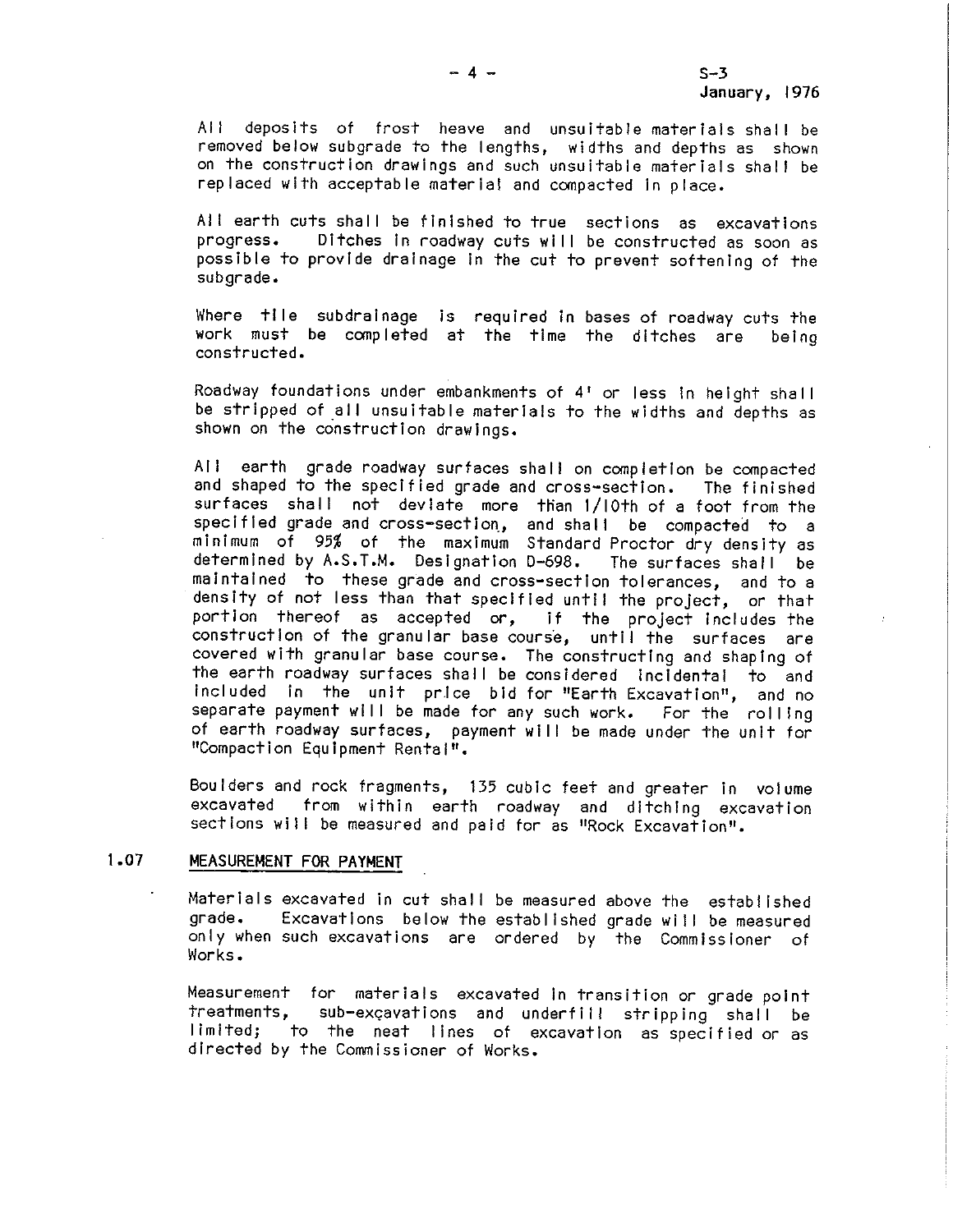All deposits of frost heave and unsuitable materials shall be removed below subgrade to the lengths, widths and depths as shown on the construction drawings and such unsuitable materials shall be replaced with acceptable material and compacted in place.

All earth cuts shall be finished to true sections as excavations<br>progress. Ditches in roadway cuts will be constructed as soon as Ditches in roadway cuts will be constructed as soon as possible to provide drainage in the cut to prevent softening of the subgrade.

Where tile subdrainage is required in bases of roadway cuts the work must be completed at the time the ditches are being constructed.

Roadway foundations under embankments of 4' or less in height shall be stripped of all unsuitable materials to the widths and depths as shown on the construction drawings.

All earth grade roadway surfaces shall on completion be compacted and shaped to the specified grade and cross-section. The finished surfaces shall not deviate more than 1/10th of a foot from the specified grade and cross-section, and shall be compacted to a minimum of 95% of the maximum Standard Proctor dry density as determined by A.S.T.M. Designation D-698. The surfaces shall be maintained to these grade and cross-section tolerances, and to a density of not less than that specified until the project, or that<br>portion thereof as accepted or, if the project includes the portion thereof as accepted or, construction of the granular base course, until the surfaces are covered with granular base course. The constructing and shaping of the earth roadway surfaces shall be considered incidental to and included In the unit pr.Ice bid for "Earth Excavation", and no separate payment will be made for any such work. For the rolling of earth roadway surfaces, payment will be made under the unit for "Compaction Equipment Rental".

Boulders and rock fragments, 135 cubic feet and greater In volume from within earth roadway and ditching excavation sections will be measured and paid for as "Rock Excavation".

## 1.07 MEASUREMENT FOR PAYMENT

Materials excavated in cut shall be measured above the established<br>grade, Excavations, below the established grade will be measured Excavations below the established grade will be measured only when such excavations are ordered by the Commissioner of Works.

Measurement for materials excavated in transition or grade point treatments, sub-excavations and underfill stripping shall be limited; to the neat lines of excavation as specified or as directed by the Commissioner of Works.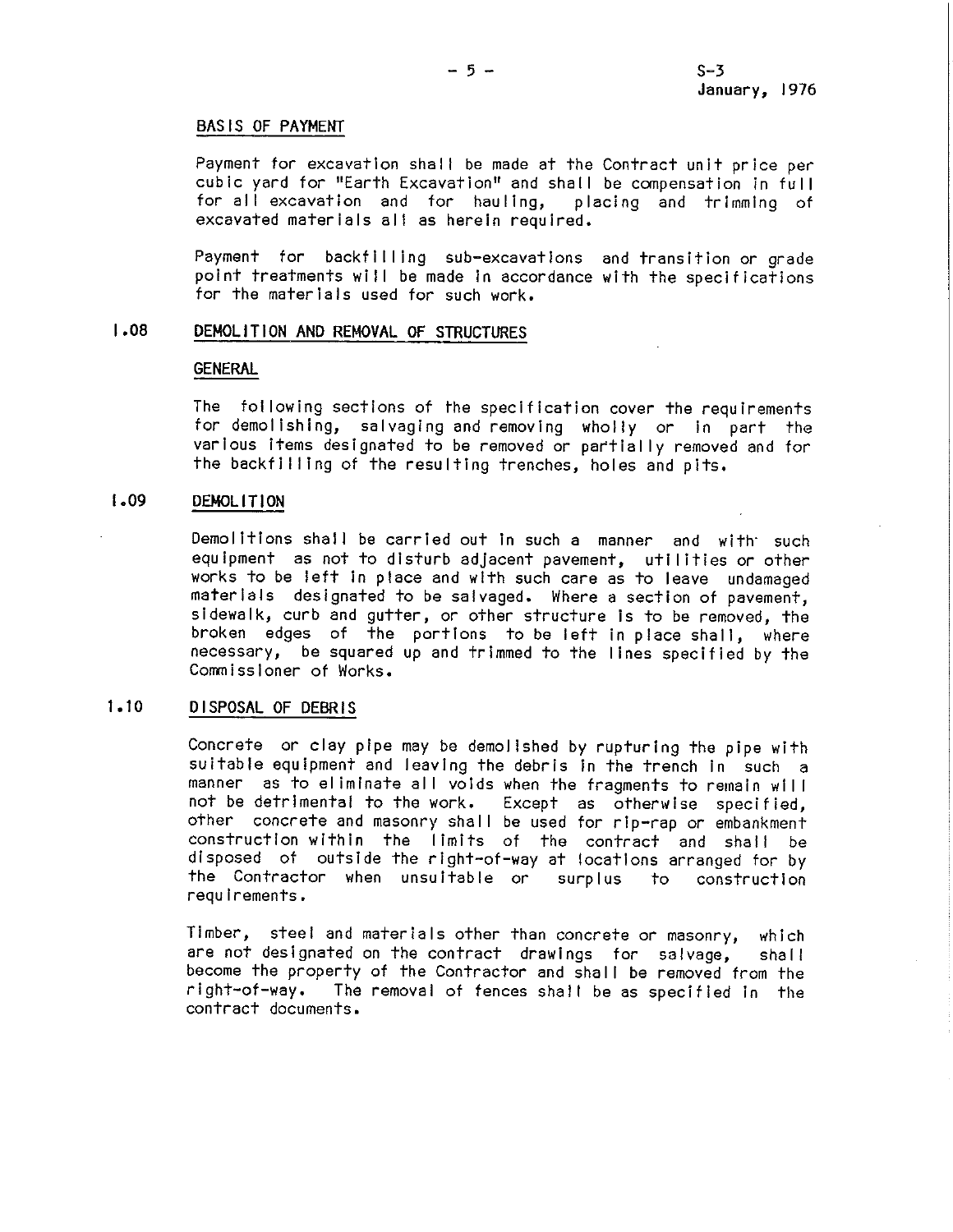#### BASIS OF PAYMENT

Payment for excavation shall be made at the Contract unit price per cubic yard for "Earth Excavation" and shall be compensation in full for all excavation and for hauling, placing and trimming of excavated materials all as herein required.

Payment for backfilling sub-excavations and transition or grade point treatments will be made in accordance with the specifications for the materials used for such work,

## J.O8 DEMOLITION AND REMOVAL OF STRUCTURES

#### **GENERAL**

The fol lowing sections of the specification cover the requirements for demolishing, salvaging and removing wholly or in part the various items designated to be removed or partially removed and for the backfilling of the resulting trenches, holes and pits.

## I • **09 DEMOLI** Tl ON

Demolitions shall be carried out in such a manner and with such equipment as not to disturb adjacent pavement, utilities or other works to be left in place and with such care as to leave undamaged materials designated to be salvaged. Where a section of pavement, sidewalk, curb and gutter, or other structure is to be removed, the broken edges of the portions to be left in place shall, where necessary, be squared up and trimmed to the lines specified by the Commissioner of Works,

## 1.10 DISPOSAL OF DEBRIS

Concrete or clay pipe may be demolished by rupturing the pipe with suitable equipment and leaving the debris in the trench in such a manner as to eliminate all voids when the fragments to remain will not be detrimental to the work. Except as otherwise specified, other concrete and masonry shall be used for rip-rap or embankment construction within the limits of the contract and shall be disposed of outside the right-of-way at locations arranged for by the Contractor when unsuitable or surplus to construction requirements.

Timber, steel and materials other than concrete or masonry, which are not designated on the contract drawings for salvage, shall become the property of the Contractor and shall be removed from the right-of-way. The removal of fences shall be as specified in the The removal of fences shall be as specified in the contract documents.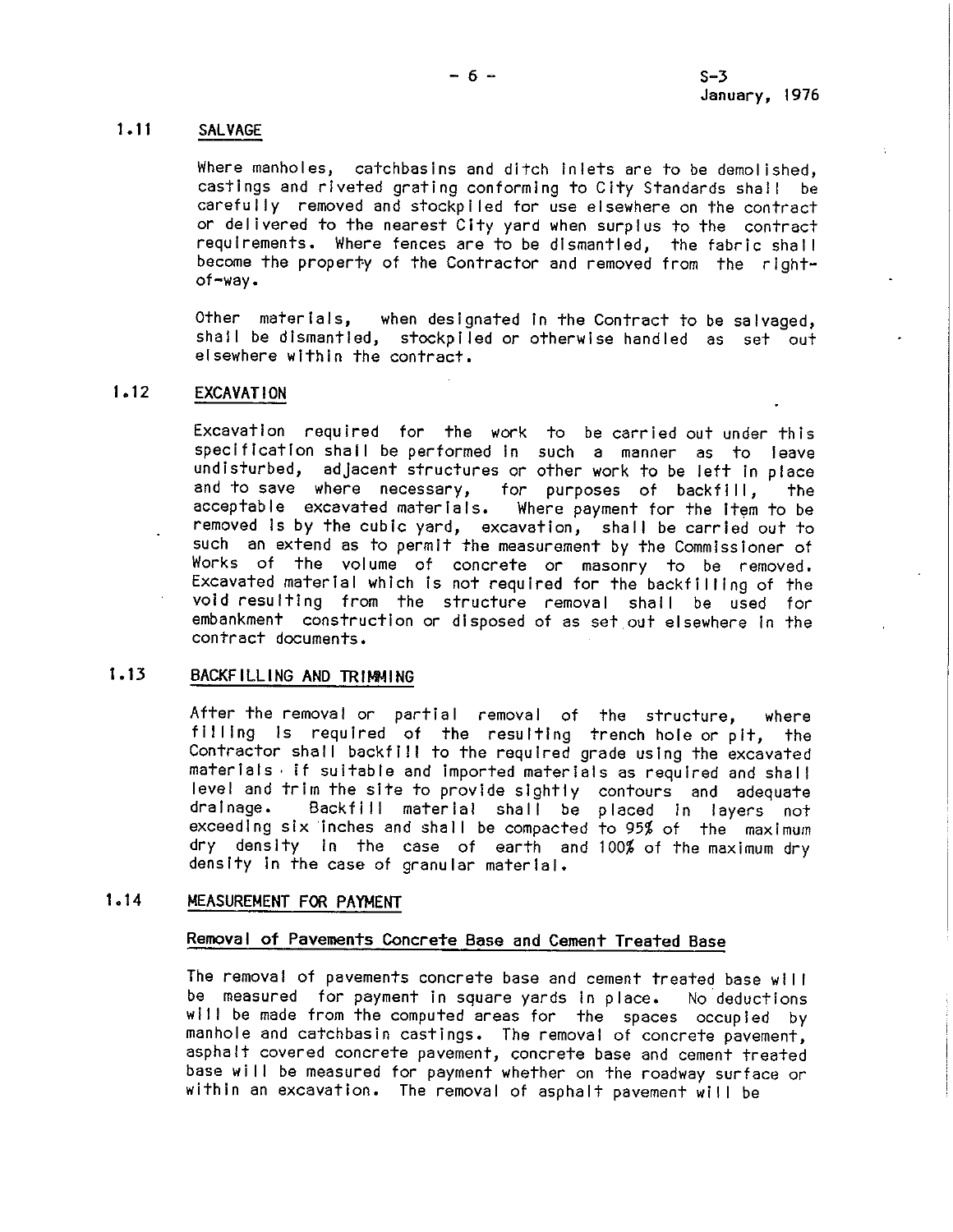## **1.11 SALVAGE**

Where manholes, catchbasins and ditch inlets are to be demolished, castings and riveted grating conforming to City Standards shall be carefully removed and stockpiled for use elsewhere on the contract or delivered to the nearest City yard when surplus to the contract requirements. Where fences are to be dismantled, the fabric shal I become the property of the Contractor and removed from the rightof-way.

Other materials, when designated in the Contract to be salvaged, shall be dismantled, stockpiled or otherwise handled as set out elsewhere within the contract.

## **1.12 EXCAVATION**

Excavation required for the work to be carried out under this specification shall be performed in such a manner as to leave undisturbed, adjacent structures or other work to be left in place and to save where necessary, for purposes of backfill, the acceptable excavated materials. Where payment for the Item to be removed is by the cubic yard, excavation, shall be carried out to such an extend as to permit the measurement by the Commissioner of Works of the volume of concrete or masonry to be removed. Excavated material which is not required for the backfilling of the void resulting from the structure removal shall be used for embankment construction or disposed of as set out elsewhere In the contract documents.

## **1.13 BACKFILLING AND TRIMMING**

After the removal or partial removal of the structure, where filling is required of the resulting trench hole or pit, the Contractor shall backfill to the required grade using the excavated materials, if suitable and imported materials as required and shall level and trim the site to provide sightly contours and adequate Backfill material shall be placed in layers not exceeding six inches and shall be compacted to 95% of the maximum dry density In the case of earth and 100% of the maximum dry density in the case of granular material.

## **1.14 MEASUREMENT FOR PAYMENT**

## **Removal of Pavements Concrete Base and Cement Treated Base**

The removal of pavements concrete base and cement treated base will be measured for payment in square yards in place. No deductions will be made from the computed areas for the spaces occupied by manhole and catchbasin castings. The removal of concrete pavement, asphalt covered concrete pavement, concrete base and cement treated base wi II be measured for payment whether on the roadway surface or within an excavation. The removal of asphalt pavement will be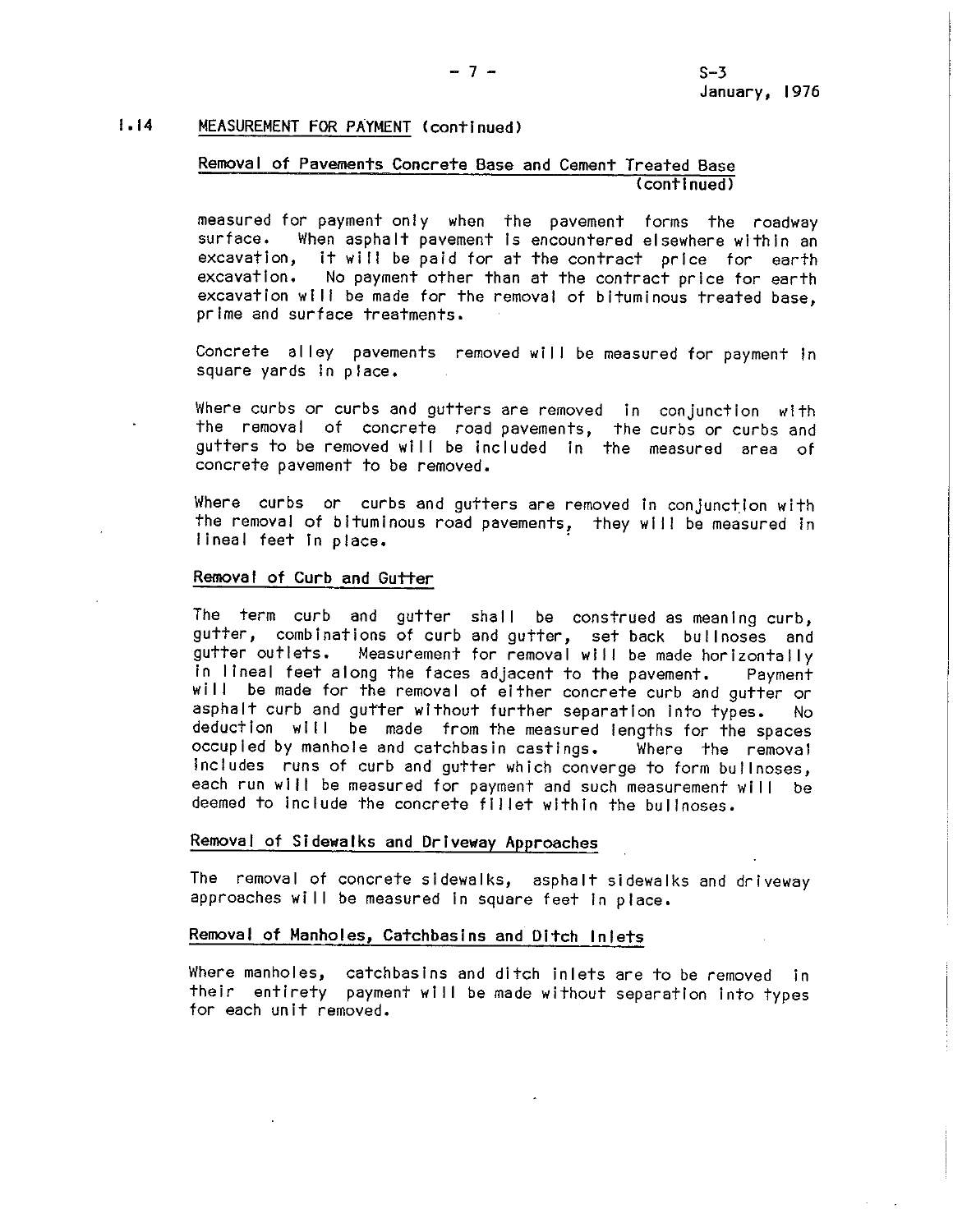## 1,14 MEASUREMENT FOR PAYMENT (continued)

## Removal of Pavements Concrete Base and Cement Treated Base (continued)

measured for payment only when the pavement forms the roadway<br>surface. When asphalt pavement is encountered elsewhere within an When asphalt pavement is encountered elsewhere within an excavation, it will be paid for at the contract price for earth excavation. No payment other than at the contract price tor earth excavation wi II be made for the removal of bituminous treated base, prime and surface treatments,

Concrete alley pavements removed will be measured for payment in square yards In place.

Where curbs or curbs and gutters are removed in conjunction with the removal of concrete road pavements, the curbs or curbs and gutters to be removed will be included in the measured area of concrete pavement to be removed.

Where curbs or curbs and gutters are removed in conjunction with the removal of bituminous road pavements, they will be measured in lineal feet in place.

#### Removal of Curb and Gutter

The term curb and gutter shall be construed as meaning curb, gutter, combinations of curb and gutter, set back bullnoses and gutter outlets. Measurement for removal wi II be made horizontally in lineal feet along the faces adjacent to the pavement. Payment will be made for the removal of either concrete curb and gutter or asphalt curb and gutter without further separation into types. No deduction will be made from the measured lengths for the spaces occupied by manhole and catchbasin castings. Where the removal includes runs of curb and gutter which converge to form bullnoses, each run will be measured for payment and such measurement will be deemed to include the concrete fillet within the bullnoses.

## Removal of Sidewalks and Driveway Approaches

The removal of concrete sidewalks, asphalt sidewalks and driveway approaches will be measured in square feet in place.

#### **Removal of Manholes, Catchbasins and Ditch Inlets**

Where manholes, catchbasins and ditch inlets are to be removed in their entirety payment will be made without separation into types for each unit removed.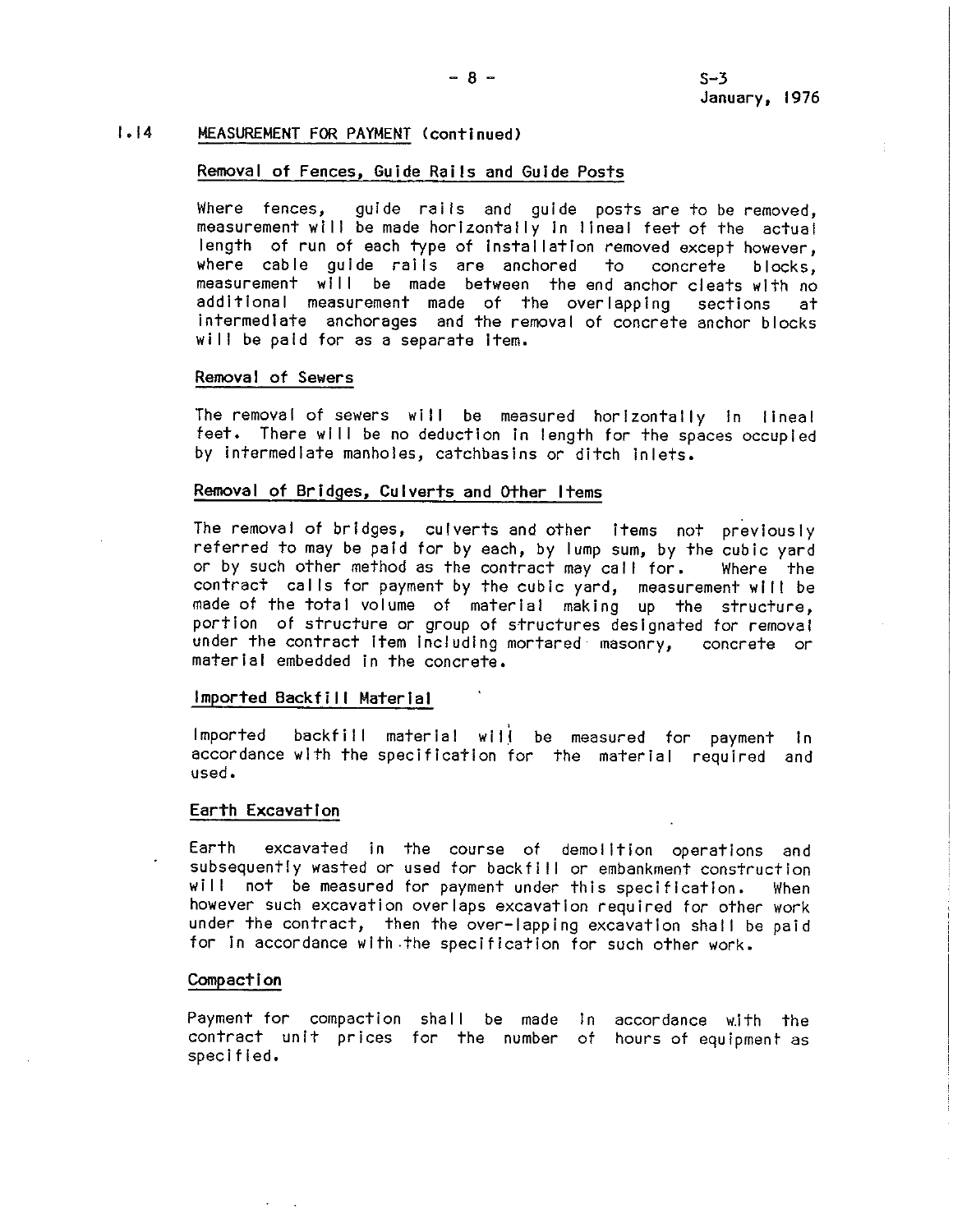## **1,14 MEASUREMENT FOR PAYMENT (continued)**

## **Removal of Fences, Guide Rails and Guide Posts**

Where fences, quide rails and quide posts are to be removed. measurement will be made horizontally in lineal feet of the actual length of run of each type of installation removed except however, where cable guide rails are anchored to concrete blocks, measurement will be made between the end anchor cleats with no additional measurement made of the overlapping sections at intermediate anchorages and the removal of concrete anchor blocks will be paid for as a separate item.

## **Removal of Sewers**

The removal of sewers will be measured horizontally in lineal feet. There wl II be no deduction In length for the spaces occupied by intermediate manholes, catchbaslns or ditch inlets.

## **Removal of Bridges, Culverts and other Items**

The removal of bridges, culverts and other Items not previously referred to may be paid for by each, by lump sum, by the cubic yard or by such other method as the contract may call for. Where the contract cal Is for payment by the cubic yard, measurement wl II be made of the total volume of material making up the structure, portion of structure or group of structures designated for removal under the contract Item Including mortared masonry, concrete or material embedded in the concrete.

## **Imported Backfill Material**

Imported backfill material will be measured for payment in accordance with the specification for the material required and used,

#### **Earth Excavation**

Earth excavated in the course of demolition operations and subsequently wasted or used for backfi II or embankment construction will not be measured for payment under this specification. When however such excavation overlaps excavation required for other work under the contract, then the over-lapping excavation shall be paid for In accordance with the specification for such other work.

#### **Compaction**

Payment for compaction shall be made in accordance with the contract unit prices for the number of hours of equipment as spec If led.